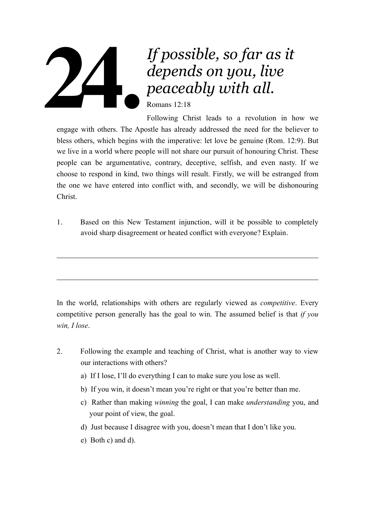## *If possible, so far as it depends on you, live peaceably with all.*  Romans 12:18 **24.**

Following Christ leads to a revolution in how we engage with others. The Apostle has already addressed the need for the believer to bless others, which begins with the imperative: let love be genuine (Rom. 12:9). But we live in a world where people will not share our pursuit of honouring Christ. These people can be argumentative, contrary, deceptive, selfish, and even nasty. If we choose to respond in kind, two things will result. Firstly, we will be estranged from the one we have entered into conflict with, and secondly, we will be dishonouring Christ.

1. Based on this New Testament injunction, will it be possible to completely avoid sharp disagreement or heated conflict with everyone? Explain.

In the world, relationships with others are regularly viewed as *competitive*. Every competitive person generally has the goal to win. The assumed belief is that *if you win, I lose*.

- 2. Following the example and teaching of Christ, what is another way to view our interactions with others?
	- a) If I lose, I'll do everything I can to make sure you lose as well.
	- b) If you win, it doesn't mean you're right or that you're better than me.
	- c) Rather than making *winning* the goal, I can make *understanding* you, and your point of view, the goal.
	- d) Just because I disagree with you, doesn't mean that I don't like you.
	- e) Both c) and d).